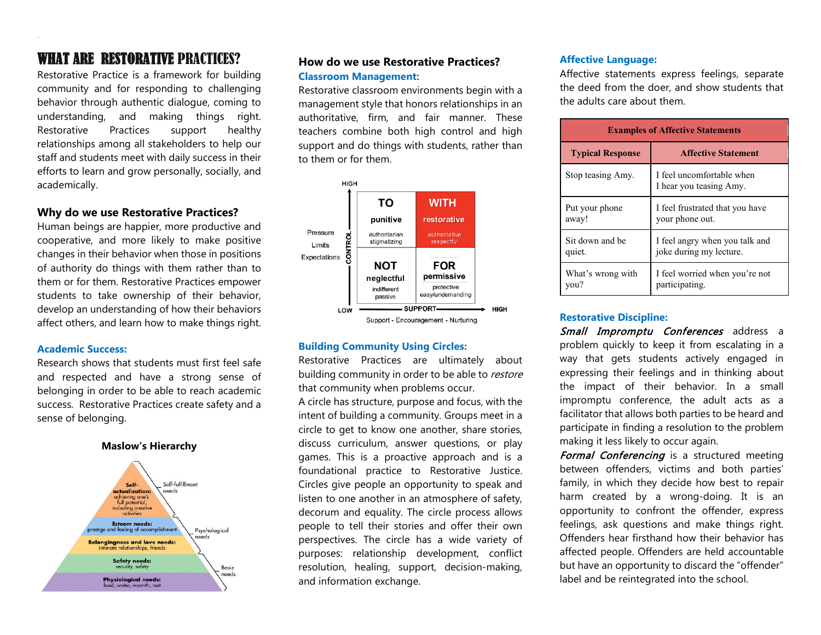# WHAT ARE RESTORATIVE PRACTICES?

Restorative Practice is a framework for building community and for responding to challenging behavior through authentic dialogue, coming to understanding, and making things right. Restorative Practices support healthy relationships among all stakeholders to help our staff and students meet with daily success in their efforts to learn and grow personally, socially, and academically.

# **Why do we use Restorative Practices?**

Human beings are happier, more productive and cooperative, and more likely to make positive changes in their behavior when those in positions of authority do things with them rather than to them or for them. Restorative Practices empower students to take ownership of their behavior, develop an understanding of how their behaviors affect others, and learn how to make things right.

#### **Academic Success:**

Research shows that students must first feel safe and respected and have a strong sense of belonging in order to be able to reach academic success. Restorative Practices create safety and a sense of belonging.





# **How do we use Restorative Practices? Classroom Management:**

Restorative classroom environments begin with a management style that honors relationships in an authoritative, firm, and fair manner. These teachers combine both high control and high support and do things with students, rather than to them or for them.



### **Building Community Using Circles:**

Restorative Practices are ultimately about building community in order to be able to restore that community when problems occur.

A circle has structure, purpose and focus, with the intent of building a community. Groups meet in a circle to get to know one another, share stories, discuss curriculum, answer questions, or play games. This is a proactive approach and is a foundational practice to Restorative Justice. Circles give people an opportunity to speak and listen to one another in an atmosphere of safety, decorum and equality. The circle process allows people to tell their stories and offer their own perspectives. The circle has a wide variety of purposes: relationship development, conflict resolution, healing, support, decision-making, and information exchange.

#### **Affective Language:**

Affective statements express feelings, separate the deed from the doer, and show students that the adults care about them.

| <b>Examples of Affective Statements</b> |                                                      |  |
|-----------------------------------------|------------------------------------------------------|--|
| <b>Typical Response</b>                 | <b>Affective Statement</b>                           |  |
| Stop teasing Amy.                       | I feel uncomfortable when<br>I hear you teasing Amy. |  |
| Put your phone                          | I feel frustrated that you have                      |  |
| away!                                   | your phone out.                                      |  |
| Sit down and be                         | I feel angry when you talk and                       |  |
| quiet.                                  | joke during my lecture.                              |  |
| What's wrong with                       | I feel worried when you're not                       |  |
| you?                                    | participating.                                       |  |

#### **Restorative Discipline:**

Small Impromptu Conferences address a problem quickly to keep it from escalating in a way that gets students actively engaged in expressing their feelings and in thinking about the impact of their behavior. In a small impromptu conference, the adult acts as a facilitator that allows both parties to be heard and participate in finding a resolution to the problem making it less likely to occur again.

Formal Conferencing is a structured meeting between offenders, victims and both parties' family, in which they decide how best to repair harm created by a wrong-doing. It is an opportunity to confront the offender, express feelings, ask questions and make things right. Offenders hear firsthand how their behavior has affected people. Offenders are held accountable but have an opportunity to discard the "offender" label and be reintegrated into the school.